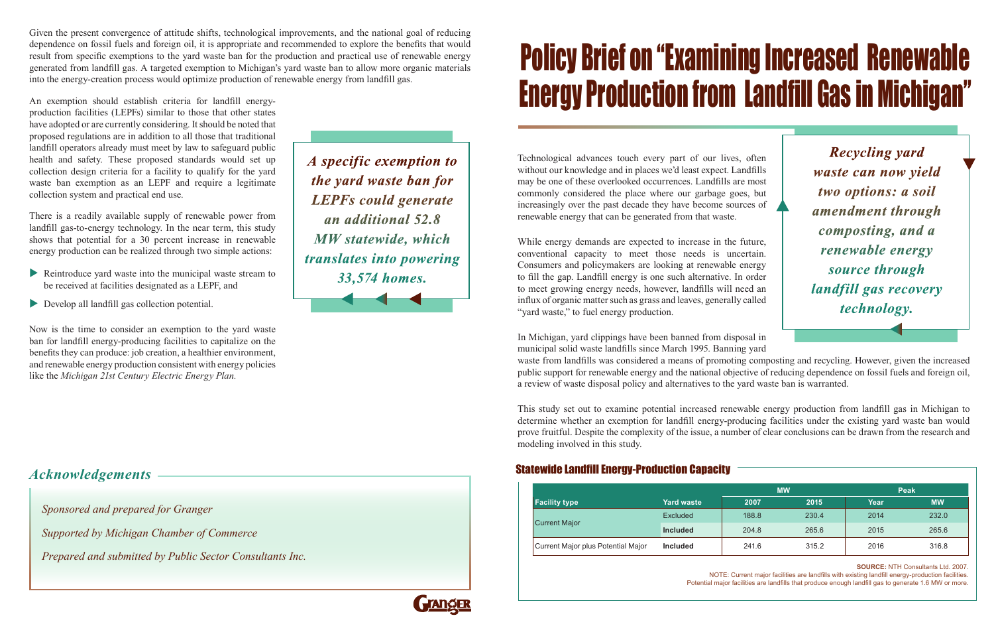Technological advances touch every part of our lives, often without our knowledge and in places we'd least expect. Landfills may be one of these overlooked occurrences. Landfills are most commonly considered the place where our garbage goes, but increasingly over the past decade they have become sources of renewable energy that can be generated from that waste.

While energy demands are expected to increase in the future, conventional capacity to meet those needs is uncertain. Consumers and policymakers are looking at renewable energy to fill the gap. Landfill energy is one such alternative. In order to meet growing energy needs, however, landfills will need an influx of organic matter such as grass and leaves, generally called "yard waste," to fuel energy production.

In Michigan, yard clippings have been banned from disposal in municipal solid waste landfills since March 1995. Banning yard waste from landfills was considered a means of promoting composting and recycling. However, given the increased public support for renewable energy and the national objective of reducing dependence on fossil fuels and foreign oil, a review of waste disposal policy and alternatives to the yard waste ban is warranted.

This study set out to examine potential increased renewable energy production from landfill gas in Michigan to determine whether an exemption for landfill energy-producing facilities under the existing yard waste ban would prove fruitful. Despite the complexity of the issue, a number of clear conclusions can be drawn from the research and modeling involved in this study.

## Policy Brief on "Examining Increased Renewable Energy Production from Landfill Gas in Michigan"

*Sponsored and prepared for Granger* 

- Reintroduce yard waste into the municipal waste stream to be received at facilities designated as a LEPF, and
- Develop all landfill gas collection potential.

*Supported by Michigan Chamber of Commerce* 

*Prepared and submitted by Public Sector Consultants Inc.*

*Recycling yard waste can now yield two options: a soil amendment through composting, and a renewable energy source through landfill gas recovery technology.*

Given the present convergence of attitude shifts, technological improvements, and the national goal of reducing dependence on fossil fuels and foreign oil, it is appropriate and recommended to explore the benefits that would result from specific exemptions to the yard waste ban for the production and practical use of renewable energy generated from landfill gas. A targeted exemption to Michigan's yard waste ban to allow more organic materials into the energy-creation process would optimize production of renewable energy from landfill gas.

An exemption should establish criteria for landfill energyproduction facilities (LEPFs) similar to those that other states have adopted or are currently considering. It should be noted that proposed regulations are in addition to all those that traditional landfill operators already must meet by law to safeguard public health and safety. These proposed standards would set up collection design criteria for a facility to qualify for the yard waste ban exemption as an LEPF and require a legitimate collection system and practical end use.

There is a readily available supply of renewable power from landfill gas-to-energy technology. In the near term, this study shows that potential for a 30 percent increase in renewable energy production can be realized through two simple actions:

Now is the time to consider an exemption to the yard waste ban for landfill energy-producing facilities to capitalize on the benefits they can produce: job creation, a healthier environment, and renewable energy production consistent with energy policies like the *Michigan 21st Century Electric Energy Plan.*

*A specific exemption to the yard waste ban for LEPFs could generate an additional 52.8 MW statewide, which translates into powering 33,574 homes.*

| <b>Facility type</b>               | Yard waste      | <b>MW</b> |       | <b>Peak</b> |           |
|------------------------------------|-----------------|-----------|-------|-------------|-----------|
|                                    |                 | 2007      | 2015  | Year        | <b>MW</b> |
| <b>Current Major</b>               | <b>Excluded</b> | 188.8     | 230.4 | 2014        | 232.0     |
|                                    | <b>Included</b> | 204.8     | 265.6 | 2015        | 265.6     |
| Current Major plus Potential Major | <b>Included</b> | 241.6     | 315.2 | 2016        | 316.8     |



NOTE: Current major facilities are landfills with existing landfill energy-production facilities. Potential major facilities are landfills that produce enough landfill gas to generate 1.6 MW or more.

## Statewide Landfill Energy-Production Capacity *Acknowledgements*